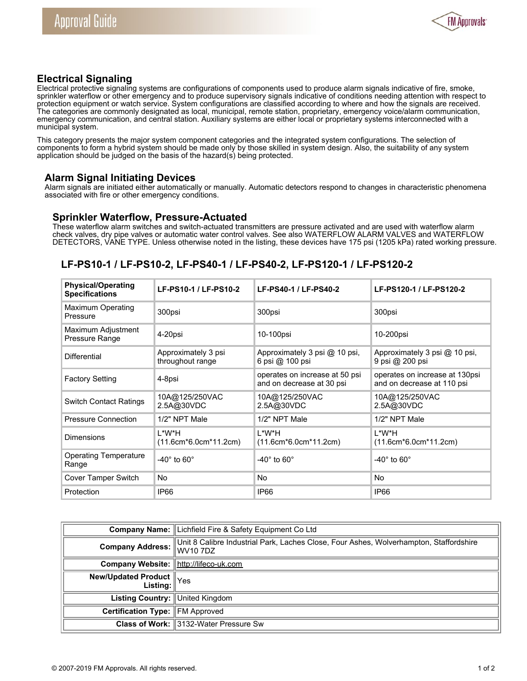

## **Electrical Signaling**

Electrical protective signaling systems are configurations of components used to produce alarm signals indicative of fire, smoke, sprinkler waterflow or other emergency and to produce supervisory signals indicative of conditions needing attention with respect to protection equipment or watch service. System configurations are classified according to where and how the signals are received. The categories are commonly designated as local, municipal, remote station, proprietary, emergency voice/alarm communication, emergency communication, and central station. Auxiliary systems are either local or proprietary systems interconnected with a municipal system.

This category presents the major system component categories and the integrated system configurations. The selection of components to form a hybrid system should be made only by those skilled in system design. Also, the suitability of any system application should be judged on the basis of the hazard(s) being protected.

## **Alarm Signal Initiating Devices**

Alarm signals are initiated either automatically or manually. Automatic detectors respond to changes in characteristic phenomena associated with fire or other emergency conditions.

## **Sprinkler Waterflow, Pressure-Actuated**

These waterflow alarm switches and switch-actuated transmitters are pressure activated and are used with waterflow alarm check valves, dry pipe valves or automatic water control valves. See also WATERFLOW ALARM VALVES and WATERFLOW DETECTORS, VANE TYPE. Unless otherwise noted in the listing, these devices have 175 psi (1205 kPa) rated working pressure.

## **LF-PS10-1 / LF-PS10-2, LF-PS40-1 / LF-PS40-2, LF-PS120-1 / LF-PS120-2**

| <b>Physical/Operating</b><br><b>Specifications</b> | LF-PS10-1 / LF-PS10-2                   | LF-PS40-1 / LF-PS40-2                                       | LF-PS120-1 / LF-PS120-2                                      |
|----------------------------------------------------|-----------------------------------------|-------------------------------------------------------------|--------------------------------------------------------------|
| <b>Maximum Operating</b><br>Pressure               | 300psi                                  | 300psi                                                      | 300psi                                                       |
| Maximum Adjustment<br>Pressure Range               | 4-20psi                                 | 10-100psi                                                   | 10-200psi                                                    |
| Differential                                       | Approximately 3 psi<br>throughout range | Approximately 3 psi @ 10 psi,<br>6 psi @ 100 psi            | Approximately 3 psi @ 10 psi,<br>9 psi @ 200 psi             |
| <b>Factory Setting</b>                             | 4-8psi                                  | operates on increase at 50 psi<br>and on decrease at 30 psi | operates on increase at 130psi<br>and on decrease at 110 psi |
| <b>Switch Contact Ratings</b>                      | 10A@125/250VAC<br>2.5A@30VDC            | 10A@125/250VAC<br>2.5A@30VDC                                | 10A@125/250VAC<br>2.5A@30VDC                                 |
| <b>Pressure Connection</b>                         | 1/2" NPT Male                           | 1/2" NPT Male                                               | 1/2" NPT Male                                                |
| <b>Dimensions</b>                                  | L*W*H<br>$(11.6cm*6.0cm*11.2cm)$        | L*W*H<br>(11.6cm*6.0cm*11.2cm)                              | L*W*H<br>$(11.6cm*6.0cm*11.2cm)$                             |
| <b>Operating Temperature</b><br>Range              | -40 $^{\circ}$ to 60 $^{\circ}$         | -40 $^{\circ}$ to 60 $^{\circ}$                             | -40 $^{\circ}$ to 60 $^{\circ}$                              |
| Cover Tamper Switch                                | No.                                     | No.                                                         | No.                                                          |
| Protection                                         | IP66                                    | <b>IP66</b>                                                 | <b>IP66</b>                                                  |

|                                        | Company Name:   Lichfield Fire & Safety Equipment Co Ltd                                                |  |
|----------------------------------------|---------------------------------------------------------------------------------------------------------|--|
|                                        | Company Address: Unit 8 Calibre Industrial Park, Laches Close, Four Ashes, Wolverhampton, Staffordshire |  |
| Company Website:  http://lifeco-uk.com |                                                                                                         |  |
| New/Updated Product<br>Listing: Ves    |                                                                                                         |  |
| Listing Country: United Kingdom        |                                                                                                         |  |
| <b>Certification Type: FM Approved</b> |                                                                                                         |  |
|                                        | Class of Work: 3132-Water Pressure Sw                                                                   |  |